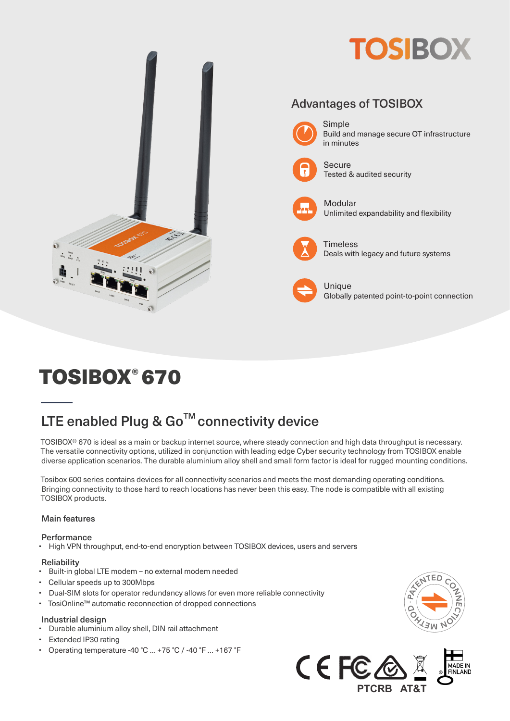

# TOSIBOX® 670

# LTE enabled Plug & Go<sup>™</sup> connectivity device

TOSIBOX® 670 is ideal as a main or backup internet source, where steady connection and high data throughput is necessary. The versatile connectivity options, utilized in conjunction with leading edge Cyber security technology from TOSIBOX enable diverse application scenarios. The durable aluminium alloy shell and small form factor is ideal for rugged mounting conditions.

Tosibox 600 series contains devices for all connectivity scenarios and meets the most demanding operating conditions. Bringing connectivity to those hard to reach locations has never been this easy. The node is compatible with all existing TOSIBOX products.

#### Main features

#### **Performance**

• High VPN throughput, end-to-end encryption between TOSIBOX devices, users and servers

#### **Reliability**

- Built-in global LTE modem no external modem needed
- Cellular speeds up to 300Mbps
- Dual-SIM slots for operator redundancy allows for even more reliable connectivity
- TosiOnline™ automatic reconnection of dropped connections

#### Industrial design

- Durable aluminium alloy shell, DIN rail attachment
- Extended IP30 rating
- Operating temperature -40 °C … +75 °C / -40 °F … +167 °F